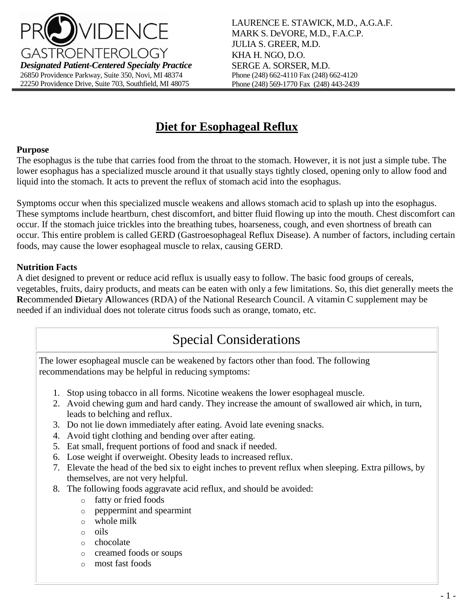

LAURENCE E. STAWICK, M.D., A.G.A.F. MARK S. DeVORE, M.D., F.A.C.P. JULIA S. GREER, M.D. KHA H. NGO, D.O. SERGE A. SORSER, M.D. Phone (248) 662-4110 Fax (248) 662-4120 Phone (248) 569-1770 Fax (248) 443-2439

# **Diet for Esophageal Reflux**

#### **Purpose**

The esophagus is the tube that carries food from the throat to the stomach. However, it is not just a simple tube. The lower esophagus has a specialized muscle around it that usually stays tightly closed, opening only to allow food and liquid into the stomach. It acts to prevent the reflux of stomach acid into the esophagus.

Symptoms occur when this specialized muscle weakens and allows stomach acid to splash up into the esophagus. These symptoms include heartburn, chest discomfort, and bitter fluid flowing up into the mouth. Chest discomfort can occur. If the stomach juice trickles into the breathing tubes, hoarseness, cough, and even shortness of breath can occur. This entire problem is called GERD (Gastroesophageal Reflux Disease). A number of factors, including certain foods, may cause the lower esophageal muscle to relax, causing GERD.

### **Nutrition Facts**

A diet designed to prevent or reduce acid reflux is usually easy to follow. The basic food groups of cereals, vegetables, fruits, dairy products, and meats can be eaten with only a few limitations. So, this diet generally meets the **R**ecommended **D**ietary **A**llowances (RDA) of the National Research Council. A vitamin C supplement may be needed if an individual does not tolerate citrus foods such as orange, tomato, etc.

# Special Considerations

The lower esophageal muscle can be weakened by factors other than food. The following recommendations may be helpful in reducing symptoms:

- 1. Stop using tobacco in all forms. Nicotine weakens the lower esophageal muscle.
- 2. Avoid chewing gum and hard candy. They increase the amount of swallowed air which, in turn, leads to belching and reflux.
- 3. Do not lie down immediately after eating. Avoid late evening snacks.
- 4. Avoid tight clothing and bending over after eating.
- 5. Eat small, frequent portions of food and snack if needed.
- 6. Lose weight if overweight. Obesity leads to increased reflux.
- 7. Elevate the head of the bed six to eight inches to prevent reflux when sleeping. Extra pillows, by themselves, are not very helpful.
- 8. The following foods aggravate acid reflux, and should be avoided:
	- o fatty or fried foods
	- o peppermint and spearmint
	- o whole milk
	- o oils
	- o chocolate
	- o creamed foods or soups
	- o most fast foods